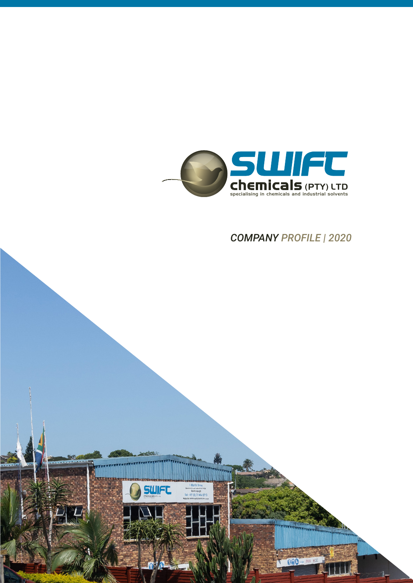

*COMPANY PROFILE | 2020*

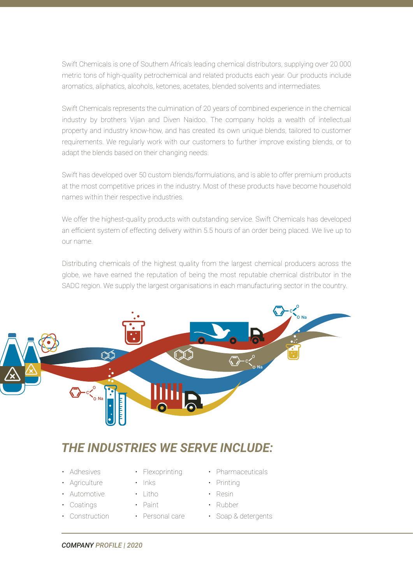Swift Chemicals is one of Southern Africa's leading chemical distributors, supplying over 20 000 metric tons of high-quality petrochemical and related products each year. Our products include aromatics, aliphatics, alcohols, ketones, acetates, blended solvents and intermediates.

Swift Chemicals represents the culmination of 20 years of combined experience in the chemical industry by brothers Vijan and Diven Naidoo. The company holds a wealth of intellectual property and industry know-how, and has created its own unique blends, tailored to customer requirements. We regularly work with our customers to further improve existing blends, or to adapt the blends based on their changing needs.

Swift has developed over 50 custom blends/formulations, and is able to offer premium products at the most competitive prices in the industry. Most of these products have become household names within their respective industries.

We offer the highest-quality products with outstanding service. Swift Chemicals has developed an efficient system of effecting delivery within 5.5 hours of an order being placed. We live up to our name.

Distributing chemicals of the highest quality from the largest chemical producers across the globe, we have earned the reputation of being the most reputable chemical distributor in the SADC region. We supply the largest organisations in each manufacturing sector in the country.



## *THE INDUSTRIES WE SERVE INCLUDE:*

- Adhesives
- Agriculture
- Automotive
- Coatings
- Construction
- Flexoprinting
- Inks
- $\cdot$  litho
- Paint
- Personal care
- Pharmaceuticals
- Printing
- Resin
- Rubber
- Soap & detergents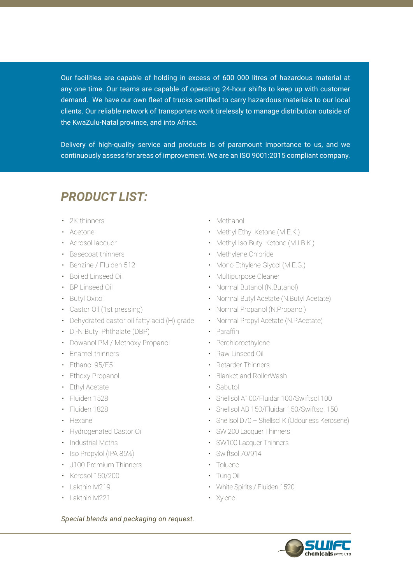Our facilities are capable of holding in excess of 600 000 litres of hazardous material at any one time. Our teams are capable of operating 24-hour shifts to keep up with customer demand. We have our own fleet of trucks certified to carry hazardous materials to our local clients. Our reliable network of transporters work tirelessly to manage distribution outside of the KwaZulu-Natal province, and into Africa.

Delivery of high-quality service and products is of paramount importance to us, and we continuously assess for areas of improvement. We are an ISO 9001:2015 compliant company.

## *PRODUCT LIST:*

- 2K thinners
- Acetone
- Aerosol lacquer
- Basecoat thinners
- Benzine / Fluiden 512
- Boiled Linseed Oil
- BP Linseed Oil
- Butyl Oxitol
- Castor Oil (1st pressing)
- Dehydrated castor oil fatty acid (H) grade
- Di-N Butyl Phthalate (DBP)
- Dowanol PM / Methoxy Propanol
- Enamel thinners
- Ethanol 95/E5
- Ethoxy Propanol
- Ethyl Acetate
- Fluiden 1528
- Fluiden 1828
- Hexane
- Hydrogenated Castor Oil
- Industrial Meths
- Iso Propylol (IPA 85%)
- J100 Premium Thinners
- Kerosol 150/200
- Lakthin M219
- Lakthin M221

## *Special blends and packaging on request.*

- Methanol
- Methyl Ethyl Ketone (M.E.K.)
- Methyl Iso Butyl Ketone (M.I.B.K.)
- Methylene Chloride
- Mono Ethylene Glycol (M.E.G.)
- Multipurpose Cleaner
- Normal Butanol (N.Butanol)
- Normal Butyl Acetate (N.Butyl Acetate)
- Normal Propanol (N.Propanol)
- Normal Propyl Acetate (N.P.Acetate)
- Paraffin
- Perchloroethylene
- Raw Linseed Oil
- Retarder Thinners
- Blanket and RollerWash
- Sabutol
- Shellsol A100/Fluidar 100/Swiftsol 100
- Shellsol AB 150/Fluidar 150/Swiftsol 150
- Shellsol D70 Shellsol K (Odourless Kerosene)
- SW 200 Lacquer Thinners
- SW100 Lacquer Thinners
- Swiftsol 70/914
- Toluene
- Tung Oil
- White Spirits / Fluiden 1520
- Xylene